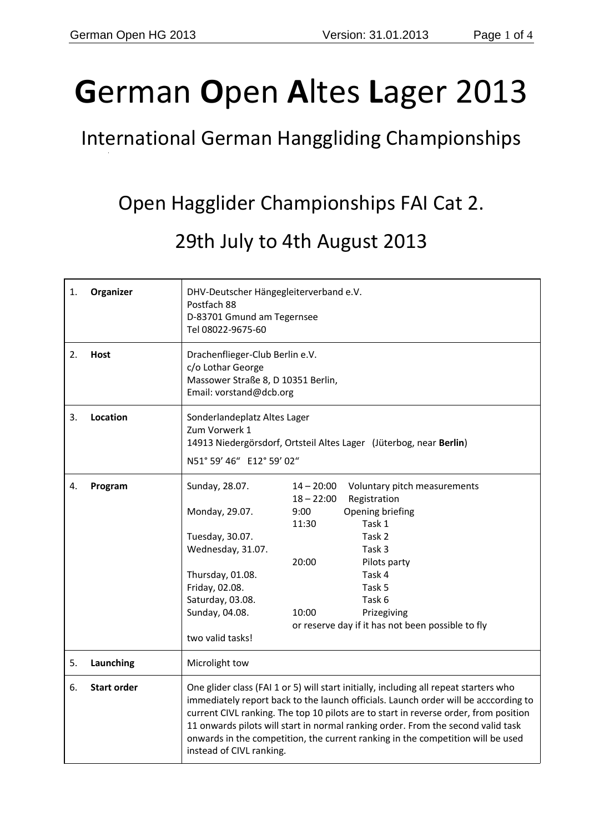# **G**erman **O**pen **A**ltes **L**ager 2013

## International German Hanggliding Championships

# Open Hagglider Championships FAI Cat 2.

### 29th July to 4th August 2013

| 1. | Organizer          | DHV-Deutscher Hängegleiterverband e.V.<br>Postfach 88<br>D-83701 Gmund am Tegernsee<br>Tel 08022-9675-60                                                                                                                                                                                                                                                                                                                                                                |                                                                                                                                                                                                                                                                                     |
|----|--------------------|-------------------------------------------------------------------------------------------------------------------------------------------------------------------------------------------------------------------------------------------------------------------------------------------------------------------------------------------------------------------------------------------------------------------------------------------------------------------------|-------------------------------------------------------------------------------------------------------------------------------------------------------------------------------------------------------------------------------------------------------------------------------------|
| 2. | Host               | Drachenflieger-Club Berlin e.V.<br>c/o Lothar George<br>Massower Straße 8, D 10351 Berlin,<br>Email: vorstand@dcb.org                                                                                                                                                                                                                                                                                                                                                   |                                                                                                                                                                                                                                                                                     |
| 3. | Location           | Sonderlandeplatz Altes Lager<br>Zum Vorwerk 1<br>14913 Niedergörsdorf, Ortsteil Altes Lager (Jüterbog, near Berlin)<br>N51° 59' 46" E12° 59' 02"                                                                                                                                                                                                                                                                                                                        |                                                                                                                                                                                                                                                                                     |
| 4. | Program            | Sunday, 28.07.<br>Monday, 29.07.<br>Tuesday, 30.07.<br>Wednesday, 31.07.<br>Thursday, 01.08.<br>Friday, 02.08.<br>Saturday, 03.08.<br>Sunday, 04.08.<br>two valid tasks!                                                                                                                                                                                                                                                                                                | $14 - 20:00$<br>Voluntary pitch measurements<br>$18 - 22:00$<br>Registration<br>Opening briefing<br>9:00<br>11:30<br>Task 1<br>Task 2<br>Task 3<br>20:00<br>Pilots party<br>Task 4<br>Task 5<br>Task 6<br>10:00<br>Prizegiving<br>or reserve day if it has not been possible to fly |
| 5. | Launching          | Microlight tow                                                                                                                                                                                                                                                                                                                                                                                                                                                          |                                                                                                                                                                                                                                                                                     |
| 6. | <b>Start order</b> | One glider class (FAI 1 or 5) will start initially, including all repeat starters who<br>immediately report back to the launch officials. Launch order will be acccording to<br>current CIVL ranking. The top 10 pilots are to start in reverse order, from position<br>11 onwards pilots will start in normal ranking order. From the second valid task<br>onwards in the competition, the current ranking in the competition will be used<br>instead of CIVL ranking. |                                                                                                                                                                                                                                                                                     |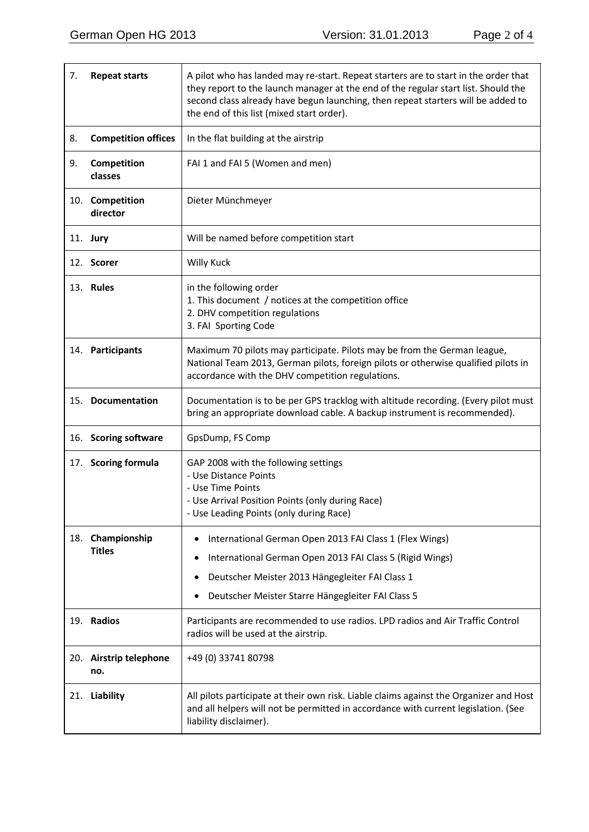| 7. | <b>Repeat starts</b>              | A pilot who has landed may re-start. Repeat starters are to start in the order that<br>they report to the launch manager at the end of the regular start list. Should the<br>second class already have begun launching, then repeat starters will be added to<br>the end of this list (mixed start order). |  |
|----|-----------------------------------|------------------------------------------------------------------------------------------------------------------------------------------------------------------------------------------------------------------------------------------------------------------------------------------------------------|--|
| 8. | <b>Competition offices</b>        | In the flat building at the airstrip                                                                                                                                                                                                                                                                       |  |
| 9. | Competition<br>classes            | FAI 1 and FAI 5 (Women and men)                                                                                                                                                                                                                                                                            |  |
|    | 10. Competition<br>director       | Dieter Münchmeyer                                                                                                                                                                                                                                                                                          |  |
|    | 11. <b>Jury</b>                   | Will be named before competition start                                                                                                                                                                                                                                                                     |  |
|    | 12. Scorer                        | <b>Willy Kuck</b>                                                                                                                                                                                                                                                                                          |  |
|    | 13. Rules                         | in the following order<br>1. This document / notices at the competition office<br>2. DHV competition regulations<br>3. FAI Sporting Code                                                                                                                                                                   |  |
|    | 14. Participants                  | Maximum 70 pilots may participate. Pilots may be from the German league,<br>National Team 2013, German pilots, foreign pilots or otherwise qualified pilots in<br>accordance with the DHV competition regulations.                                                                                         |  |
|    | 15. Documentation                 | Documentation is to be per GPS tracklog with altitude recording. (Every pilot must<br>bring an appropriate download cable. A backup instrument is recommended).                                                                                                                                            |  |
|    | 16. Scoring software              | GpsDump, FS Comp                                                                                                                                                                                                                                                                                           |  |
|    | 17. Scoring formula               | GAP 2008 with the following settings<br>- Use Distance Points<br>- Use Time Points<br>- Use Arrival Position Points (only during Race)<br>- Use Leading Points (only during Race)                                                                                                                          |  |
|    | 18. Championship<br><b>Titles</b> | International German Open 2013 FAI Class 1 (Flex Wings)<br>٠<br>International German Open 2013 FAI Class 5 (Rigid Wings)<br>٠<br>Deutscher Meister 2013 Hängegleiter FAI Class 1<br>Deutscher Meister Starre Hängegleiter FAI Class 5<br>٠                                                                 |  |
|    | 19. Radios                        | Participants are recommended to use radios. LPD radios and Air Traffic Control<br>radios will be used at the airstrip.                                                                                                                                                                                     |  |
|    | 20. Airstrip telephone<br>no.     | +49 (0) 33741 80798                                                                                                                                                                                                                                                                                        |  |
|    | 21. Liability                     | All pilots participate at their own risk. Liable claims against the Organizer and Host<br>and all helpers will not be permitted in accordance with current legislation. (See<br>liability disclaimer).                                                                                                     |  |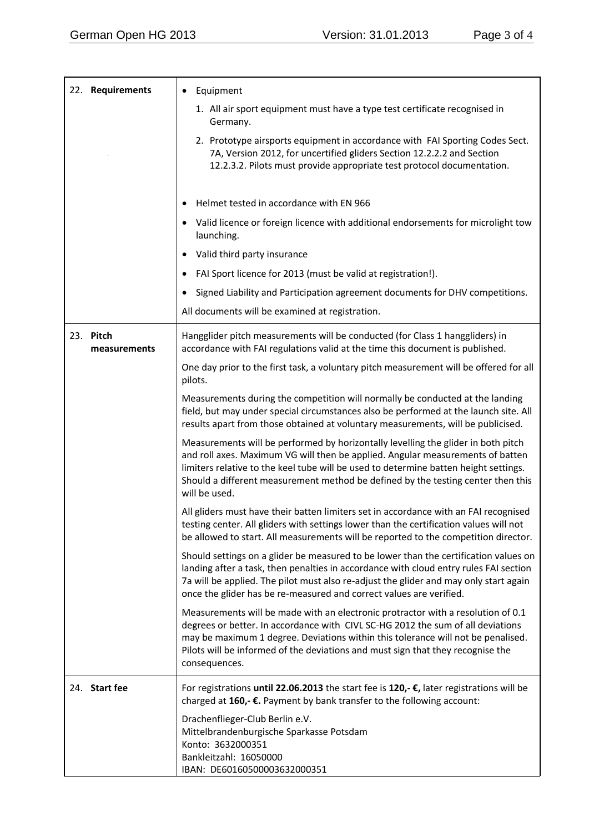| 22. Requirements          | Equipment                                                                                                                                                                                                                                                                                                                                                        |
|---------------------------|------------------------------------------------------------------------------------------------------------------------------------------------------------------------------------------------------------------------------------------------------------------------------------------------------------------------------------------------------------------|
|                           | 1. All air sport equipment must have a type test certificate recognised in<br>Germany.                                                                                                                                                                                                                                                                           |
|                           | 2. Prototype airsports equipment in accordance with FAI Sporting Codes Sect.<br>7A, Version 2012, for uncertified gliders Section 12.2.2.2 and Section<br>12.2.3.2. Pilots must provide appropriate test protocol documentation.                                                                                                                                 |
|                           | Helmet tested in accordance with EN 966                                                                                                                                                                                                                                                                                                                          |
|                           | Valid licence or foreign licence with additional endorsements for microlight tow<br>launching.                                                                                                                                                                                                                                                                   |
|                           | Valid third party insurance                                                                                                                                                                                                                                                                                                                                      |
|                           | FAI Sport licence for 2013 (must be valid at registration!).                                                                                                                                                                                                                                                                                                     |
|                           | Signed Liability and Participation agreement documents for DHV competitions.                                                                                                                                                                                                                                                                                     |
|                           | All documents will be examined at registration.                                                                                                                                                                                                                                                                                                                  |
| 23. Pitch<br>measurements | Hangglider pitch measurements will be conducted (for Class 1 hanggliders) in<br>accordance with FAI regulations valid at the time this document is published.                                                                                                                                                                                                    |
|                           | One day prior to the first task, a voluntary pitch measurement will be offered for all<br>pilots.                                                                                                                                                                                                                                                                |
|                           | Measurements during the competition will normally be conducted at the landing<br>field, but may under special circumstances also be performed at the launch site. All<br>results apart from those obtained at voluntary measurements, will be publicised.                                                                                                        |
|                           | Measurements will be performed by horizontally levelling the glider in both pitch<br>and roll axes. Maximum VG will then be applied. Angular measurements of batten<br>limiters relative to the keel tube will be used to determine batten height settings.<br>Should a different measurement method be defined by the testing center then this<br>will be used. |
|                           | All gliders must have their batten limiters set in accordance with an FAI recognised<br>testing center. All gliders with settings lower than the certification values will not<br>be allowed to start. All measurements will be reported to the competition director.                                                                                            |
|                           | Should settings on a glider be measured to be lower than the certification values on<br>landing after a task, then penalties in accordance with cloud entry rules FAI section<br>7a will be applied. The pilot must also re-adjust the glider and may only start again<br>once the glider has be re-measured and correct values are verified.                    |
|                           | Measurements will be made with an electronic protractor with a resolution of 0.1<br>degrees or better. In accordance with CIVL SC-HG 2012 the sum of all deviations<br>may be maximum 1 degree. Deviations within this tolerance will not be penalised.<br>Pilots will be informed of the deviations and must sign that they recognise the<br>consequences.      |
| 24. Start fee             | For registrations until 22.06.2013 the start fee is 120,- €, later registrations will be<br>charged at 160,- €. Payment by bank transfer to the following account:                                                                                                                                                                                               |
|                           | Drachenflieger-Club Berlin e.V.<br>Mittelbrandenburgische Sparkasse Potsdam<br>Konto: 3632000351<br>Bankleitzahl: 16050000<br>IBAN: DE60160500003632000351                                                                                                                                                                                                       |